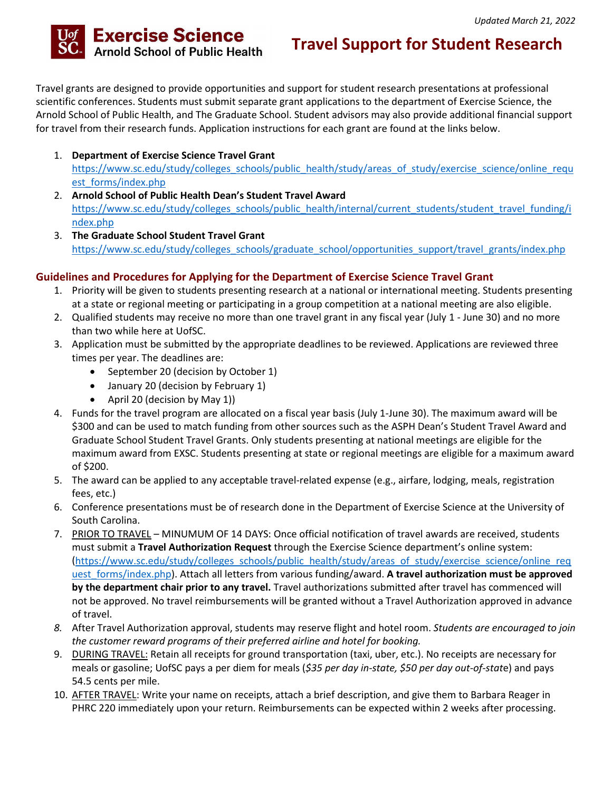

## **Travel Support for Student Research**

Travel grants are designed to provide opportunities and support for student research presentations at professional scientific conferences. Students must submit separate grant applications to the department of Exercise Science, the Arnold School of Public Health, and The Graduate School. Student advisors may also provide additional financial support for travel from their research funds. Application instructions for each grant are found at the links below.

- 1. **Department of Exercise Science Travel Grant** [https://www.sc.edu/study/colleges\\_schools/public\\_health/study/areas\\_of\\_study/exercise\\_science/online\\_requ](https://www.sc.edu/study/colleges_schools/public_health/study/areas_of_study/exercise_science/online_request_forms/index.php) [est\\_forms/index.php](https://www.sc.edu/study/colleges_schools/public_health/study/areas_of_study/exercise_science/online_request_forms/index.php)
- 2. **Arnold School of Public Health Dean's Student Travel Award** [https://www.sc.edu/study/colleges\\_schools/public\\_health/internal/current\\_students/student\\_travel\\_funding/i](https://www.sc.edu/study/colleges_schools/public_health/internal/current_students/student_travel_funding/index.php) [ndex.php](https://www.sc.edu/study/colleges_schools/public_health/internal/current_students/student_travel_funding/index.php)
- 3. **The Graduate School Student Travel Grant** [https://www.sc.edu/study/colleges\\_schools/graduate\\_school/opportunities\\_support/travel\\_grants/index.php](https://www.sc.edu/study/colleges_schools/graduate_school/opportunities_support/travel_grants/index.php)

## **Guidelines and Procedures for Applying for the Department of Exercise Science Travel Grant**

- 1. Priority will be given to students presenting research at a national or international meeting. Students presenting at a state or regional meeting or participating in a group competition at a national meeting are also eligible.
- 2. Qualified students may receive no more than one travel grant in any fiscal year (July 1 June 30) and no more than two while here at UofSC.
- 3. Application must be submitted by the appropriate deadlines to be reviewed. Applications are reviewed three times per year. The deadlines are:
	- September 20 (decision by October 1)
	- January 20 (decision by February 1)
	- April 20 (decision by May 1))
- 4. Funds for the travel program are allocated on a fiscal year basis (July 1-June 30). The maximum award will be \$300 and can be used to match funding from other sources such as the ASPH Dean's Student Travel Award and Graduate School Student Travel Grants. Only students presenting at national meetings are eligible for the maximum award from EXSC. Students presenting at state or regional meetings are eligible for a maximum award of \$200.
- 5. The award can be applied to any acceptable travel-related expense (e.g., airfare, lodging, meals, registration fees, etc.)
- 6. Conference presentations must be of research done in the Department of Exercise Science at the University of South Carolina.
- 7. PRIOR TO TRAVEL MINUMUM OF 14 DAYS: Once official notification of travel awards are received, students must submit a **Travel Authorization Request** through the Exercise Science department's online system: [\(https://www.sc.edu/study/colleges\\_schools/public\\_health/study/areas\\_of\\_study/exercise\\_science/online\\_req](https://www.sc.edu/study/colleges_schools/public_health/study/areas_of_study/exercise_science/online_request_forms/index.php) [uest\\_forms/index.php\)](https://www.sc.edu/study/colleges_schools/public_health/study/areas_of_study/exercise_science/online_request_forms/index.php). Attach all letters from various funding/award. **A travel authorization must be approved by the department chair prior to any travel.** Travel authorizations submitted after travel has commenced will not be approved. No travel reimbursements will be granted without a Travel Authorization approved in advance of travel.
- *8.* After Travel Authorization approval, students may reserve flight and hotel room. *Students are encouraged to join the customer reward programs of their preferred airline and hotel for booking.*
- 9. DURING TRAVEL: Retain all receipts for ground transportation (taxi, uber, etc.). No receipts are necessary for meals or gasoline; UofSC pays a per diem for meals (*\$35 per day in-state, \$50 per day out-of-stat*e) and pays 54.5 cents per mile.
- 10. AFTER TRAVEL: Write your name on receipts, attach a brief description, and give them to Barbara Reager in PHRC 220 immediately upon your return. Reimbursements can be expected within 2 weeks after processing.